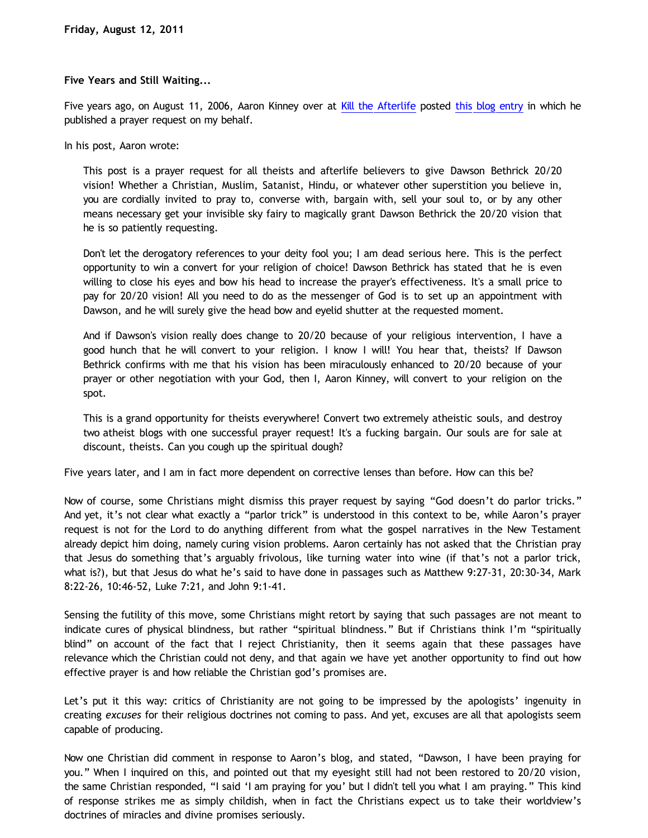## **Five Years and Still Waiting...**

Five years ago, on August 11, 2006, Aaron Kinney over at [Kill the Afterlife](http://killtheafterlife.blogspot.com/) posted [this blog entry](http://killtheafterlife.blogspot.com/2006/08/operation-pray-dawsons-way-to-2020.html) in which he published a prayer request on my behalf.

In his post, Aaron wrote:

This post is a prayer request for all theists and afterlife believers to give Dawson Bethrick 20/20 vision! Whether a Christian, Muslim, Satanist, Hindu, or whatever other superstition you believe in, you are cordially invited to pray to, converse with, bargain with, sell your soul to, or by any other means necessary get your invisible sky fairy to magically grant Dawson Bethrick the 20/20 vision that he is so patiently requesting.

Don't let the derogatory references to your deity fool you; I am dead serious here. This is the perfect opportunity to win a convert for your religion of choice! Dawson Bethrick has stated that he is even willing to close his eyes and bow his head to increase the prayer's effectiveness. It's a small price to pay for 20/20 vision! All you need to do as the messenger of God is to set up an appointment with Dawson, and he will surely give the head bow and eyelid shutter at the requested moment.

And if Dawson's vision really does change to 20/20 because of your religious intervention, I have a good hunch that he will convert to your religion. I know I will! You hear that, theists? If Dawson Bethrick confirms with me that his vision has been miraculously enhanced to 20/20 because of your prayer or other negotiation with your God, then I, Aaron Kinney, will convert to your religion on the spot.

This is a grand opportunity for theists everywhere! Convert two extremely atheistic souls, and destroy two atheist blogs with one successful prayer request! It's a fucking bargain. Our souls are for sale at discount, theists. Can you cough up the spiritual dough?

Five years later, and I am in fact more dependent on corrective lenses than before. How can this be?

Now of course, some Christians might dismiss this prayer request by saying "God doesn't do parlor tricks." And yet, it's not clear what exactly a "parlor trick" is understood in this context to be, while Aaron's prayer request is not for the Lord to do anything different from what the gospel narratives in the New Testament already depict him doing, namely curing vision problems. Aaron certainly has not asked that the Christian pray that Jesus do something that's arguably frivolous, like turning water into wine (if that's not a parlor trick, what is?), but that Jesus do what he's said to have done in passages such as Matthew 9:27-31, 20:30-34, Mark 8:22-26, 10:46-52, Luke 7:21, and John 9:1-41.

Sensing the futility of this move, some Christians might retort by saying that such passages are not meant to indicate cures of physical blindness, but rather "spiritual blindness." But if Christians think I'm "spiritually blind" on account of the fact that I reject Christianity, then it seems again that these passages have relevance which the Christian could not deny, and that again we have yet another opportunity to find out how effective prayer is and how reliable the Christian god's promises are.

Let's put it this way: critics of Christianity are not going to be impressed by the apologists' ingenuity in creating *excuses* for their religious doctrines not coming to pass. And yet, excuses are all that apologists seem capable of producing.

Now one Christian did comment in response to Aaron's blog, and stated, "Dawson, I have been praying for you." When I inquired on this, and pointed out that my eyesight still had not been restored to 20/20 vision, the same Christian responded, "I said 'I am praying for you' but I didn't tell you what I am praying." This kind of response strikes me as simply childish, when in fact the Christians expect us to take their worldview's doctrines of miracles and divine promises seriously.